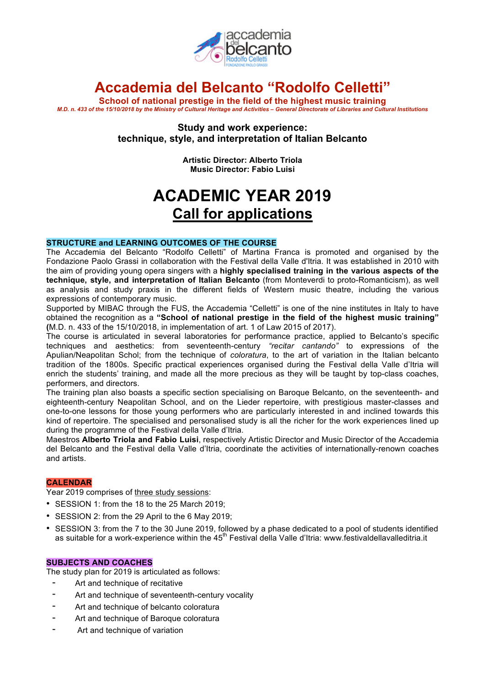

## **Accademia del Belcanto "Rodolfo Celletti"**

**School of national prestige in the field of the highest music training** M.D. n. 433 of the 15/10/2018 by the Ministry of Cultural Heritage and Activities - General Directorate of Libraries and Cultural Institutions

> **Study and work experience: technique, style, and interpretation of Italian Belcanto**

> > **Artistic Director: Alberto Triola Music Director: Fabio Luisi**

# **ACADEMIC YEAR 2019 Call for applications**

### **STRUCTURE and LEARNING OUTCOMES OF THE COURSE**

The Accademia del Belcanto "Rodolfo Celletti" of Martina Franca is promoted and organised by the Fondazione Paolo Grassi in collaboration with the Festival della Valle d'Itria. It was established in 2010 with the aim of providing young opera singers with a **highly specialised training in the various aspects of the technique, style, and interpretation of Italian Belcanto** (from Monteverdi to proto-Romanticism), as well as analysis and study praxis in the different fields of Western music theatre, including the various expressions of contemporary music.

Supported by MIBAC through the FUS, the Accademia "Celletti" is one of the nine institutes in Italy to have obtained the recognition as a **"School of national prestige in the field of the highest music training" (**M.D. n. 433 of the 15/10/2018, in implementation of art. 1 of Law 2015 of 2017).

The course is articulated in several laboratories for performance practice, applied to Belcanto's specific techniques and aesthetics: from seventeenth-century *"recitar cantando"* to expressions of the Apulian/Neapolitan Schol; from the technique of *coloratura*, to the art of variation in the Italian belcanto tradition of the 1800s. Specific practical experiences organised during the Festival della Valle d'Itria will enrich the students' training, and made all the more precious as they will be taught by top-class coaches, performers, and directors.

The training plan also boasts a specific section specialising on Baroque Belcanto, on the seventeenth- and eighteenth-century Neapolitan School, and on the Lieder repertoire, with prestigious master-classes and one-to-one lessons for those young performers who are particularly interested in and inclined towards this kind of repertoire. The specialised and personalised study is all the richer for the work experiences lined up during the programme of the Festival della Valle d'Itria.

Maestros **Alberto Triola and Fabio Luisi**, respectively Artistic Director and Music Director of the Accademia del Belcanto and the Festival della Valle d'Itria, coordinate the activities of internationally-renown coaches and artists.

## **CALENDAR**

Year 2019 comprises of three study sessions:

- SESSION 1: from the 18 to the 25 March 2019;
- SESSION 2: from the 29 April to the 6 May 2019;
- SESSION 3: from the 7 to the 30 June 2019, followed by a phase dedicated to a pool of students identified as suitable for a work-experience within the 45<sup>th</sup> Festival della Valle d'Itria: www.festivaldellavalleditria.it

#### **SUBJECTS AND COACHES**

The study plan for 2019 is articulated as follows:

- Art and technique of recitative
- Art and technique of seventeenth-century vocality
- Art and technique of belcanto coloratura
- Art and technique of Baroque coloratura
- Art and technique of variation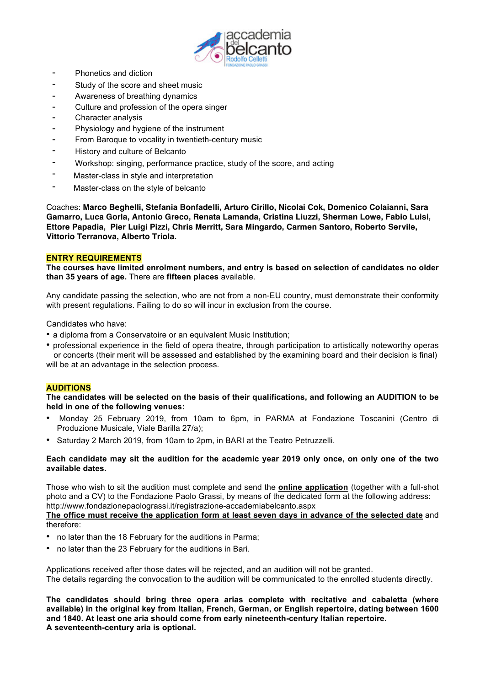

- Phonetics and diction
- Study of the score and sheet music
- Awareness of breathing dynamics
- Culture and profession of the opera singer
- Character analysis
- Physiology and hygiene of the instrument
- From Baroque to vocality in twentieth-century music
- History and culture of Belcanto
- Workshop: singing, performance practice, study of the score, and acting
- Master-class in style and interpretation
- Master-class on the style of belcanto

Coaches: **Marco Beghelli, Stefania Bonfadelli, Arturo Cirillo, Nicolai Cok, Domenico Colaianni, Sara Gamarro, Luca Gorla, Antonio Greco, Renata Lamanda, Cristina Liuzzi, Sherman Lowe, Fabio Luisi, Ettore Papadia, Pier Luigi Pizzi, Chris Merritt, Sara Mingardo, Carmen Santoro, Roberto Servile, Vittorio Terranova, Alberto Triola.**

### **ENTRY REQUIREMENTS**

**The courses have limited enrolment numbers, and entry is based on selection of candidates no older than 35 years of age.** There are **fifteen places** available.

Any candidate passing the selection, who are not from a non-EU country, must demonstrate their conformity with present regulations. Failing to do so will incur in exclusion from the course.

Candidates who have:

- a diploma from a Conservatoire or an equivalent Music Institution;
- professional experience in the field of opera theatre, through participation to artistically noteworthy operas or concerts (their merit will be assessed and established by the examining board and their decision is final) will be at an advantage in the selection process.

## **AUDITIONS**

**The candidates will be selected on the basis of their qualifications, and following an AUDITION to be held in one of the following venues:**

- Monday 25 February 2019, from 10am to 6pm, in PARMA at Fondazione Toscanini (Centro di Produzione Musicale, Viale Barilla 27/a);
- Saturday 2 March 2019, from 10am to 2pm, in BARI at the Teatro Petruzzelli.

### Each candidate may sit the audition for the academic year 2019 only once, on only one of the two **available dates.**

Those who wish to sit the audition must complete and send the **online application** (together with a full-shot photo and a CV) to the Fondazione Paolo Grassi, by means of the dedicated form at the following address: http://www.fondazionepaolograssi.it/registrazione-accademiabelcanto.aspx **The office must receive the application form at least seven days in advance of the selected date** and therefore:

- no later than the 18 February for the auditions in Parma;
- no later than the 23 February for the auditions in Bari.

Applications received after those dates will be rejected, and an audition will not be granted. The details regarding the convocation to the audition will be communicated to the enrolled students directly.

**The candidates should bring three opera arias complete with recitative and cabaletta (where available) in the original key from Italian, French, German, or English repertoire, dating between 1600 and 1840. At least one aria should come from early nineteenth-century Italian repertoire. A seventeenth-century aria is optional.**